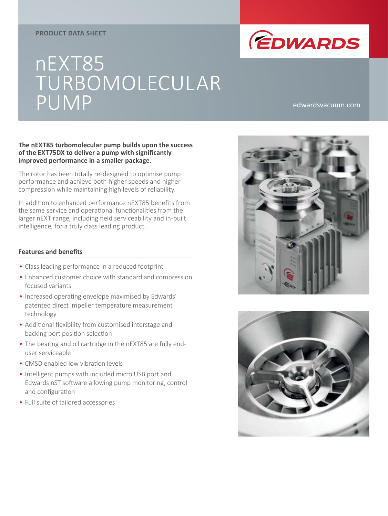#### **PRODUCT DATA SHEET**



# nEXT85 TURBOMOLECULAR PUMP edwardsvacuum.com

#### **The nEXT85 turbomolecular pump builds upon the success of the EXT75DX to deliver a pump with significantly improved performance in a smaller package.**

The rotor has been totally re-designed to optimise pump performance and achieve both higher speeds and higher compression while maintaining high levels of reliability.

In addition to enhanced performance nEXT85 benefits from the same service and operational functionalities from the larger nEXT range, including field serviceability and in-built intelligence, for a truly class leading product.

#### **Features and benefits**

- Class leading performance in a reduced footprint
- Enhanced customer choice with standard and compression focused variants
- Increased operating envelope maximised by Edwards' patented direct impeller temperature measurement technology
- Additional flexibility from customised interstage and backing port position selection
- The bearing and oil cartridge in the nEXT85 are fully enduser serviceable
- CMSD enabled low vibration levels
- Intelligent pumps with included micro USB port and Edwards nST software allowing pump monitoring, control and configuration
- Full suite of tailored accessories



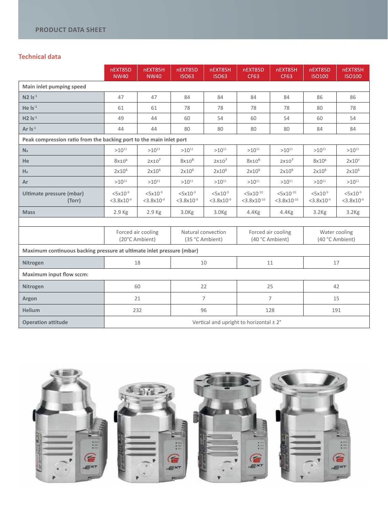# **Technical data**

|                                                                       | nEXT85D<br><b>NW40</b>                    | nEXT85H<br><b>NW40</b>         | nEXT85D<br><b>ISO63</b>                 | nEXT85H<br><b>ISO63</b>          | nEXT85D<br><b>CF63</b>                | nEXT85H<br><b>CF63</b>                    | nEXT85D<br><b>ISO100</b>                  | nEXT85H<br><b>ISO100</b>                |
|-----------------------------------------------------------------------|-------------------------------------------|--------------------------------|-----------------------------------------|----------------------------------|---------------------------------------|-------------------------------------------|-------------------------------------------|-----------------------------------------|
| Main inlet pumping speed                                              |                                           |                                |                                         |                                  |                                       |                                           |                                           |                                         |
| $N2$ $Is-1$                                                           | 47                                        | 47                             | 84                                      | 84                               | 84                                    | 84                                        | 86                                        | 86                                      |
| He $Is^{-1}$                                                          | 61                                        | 61                             | 78                                      | 78                               | 78                                    | 78                                        | 80                                        | 78                                      |
| $H2$ $Is-1$                                                           | 49                                        | 44                             | 60                                      | 54                               | 60                                    | 54                                        | 60                                        | 54                                      |
| Ar $Is^{-1}$                                                          | 44                                        | 44                             | 80                                      | 80                               | 80                                    | 80                                        | 84                                        | 84                                      |
| Peak compression ratio from the backing port to the main inlet port   |                                           |                                |                                         |                                  |                                       |                                           |                                           |                                         |
| N <sub>2</sub>                                                        | $>10^{11}$                                | $>10^{11}$                     | $>10^{11}$                              | $>10^{11}$                       | $>10^{11}$                            | $>10^{11}$                                | $>10^{11}$                                | $>10^{11}$                              |
| He                                                                    | 8x10 <sup>6</sup>                         | $2x10^7$                       | 8x10 <sup>6</sup>                       | $2x10^7$                         | $8x10^6$                              | $2x10^7$                                  | 8x10 <sup>6</sup>                         | 2x10 <sup>7</sup>                       |
| H <sub>2</sub>                                                        | 2x10 <sup>5</sup>                         | 2x10 <sup>5</sup>              | 2x10 <sup>5</sup>                       | 2x10 <sup>5</sup>                | 2x10 <sup>5</sup>                     | 2x10 <sup>5</sup>                         | 2x10 <sup>5</sup>                         | 2x10 <sup>5</sup>                       |
| Ar                                                                    | $>10^{11}$                                | $>10^{11}$                     | $>10^{11}$                              | $>10^{11}$                       | $>10^{11}$                            | $>10^{11}$                                | $>10^{11}$                                | $>10^{11}$                              |
| Ultimate pressure (mbar)<br>(Torr)                                    | $< 5x10^{-9}$<br>$<$ 3.8x10 <sup>-9</sup> | $5x10^{-9}$<br>$<$ 3.8x10 $-9$ | $5x10^{-9}$<br>$<$ 3.8x10 <sup>-9</sup> | $< 5x10^{-9}$<br>$<$ 3.8x10 $-9$ | $5x10^{-10}$<br>$<$ 3.8x10 $^{-10}$   | $5x10^{-10}$<br>$<$ 3.8x10 <sup>-10</sup> | $< 5x10^{-9}$<br>$<$ 3.8x10 <sup>-9</sup> | $5x10^{-9}$<br>$<$ 3.8x10 <sup>-9</sup> |
| <b>Mass</b>                                                           | 2.9 Kg                                    | 2.9 Kg                         | 3.0 <sub>Kg</sub>                       | 3.0 <sub>kg</sub>                | $4.4$ Kg                              | $4.4$ Kg                                  | 3.2 <sub>kg</sub>                         | 3.2 <sub>kg</sub>                       |
|                                                                       |                                           |                                |                                         |                                  |                                       |                                           |                                           |                                         |
|                                                                       | Forced air cooling<br>(20°C Ambient)      |                                | Natural convection<br>(35 °C Ambient)   |                                  | Forced air cooling<br>(40 °C Ambient) |                                           | Water cooling<br>(40 °C Ambient)          |                                         |
| Maximum continuous backing pressure at ultimate inlet pressure (mbar) |                                           |                                |                                         |                                  |                                       |                                           |                                           |                                         |
| Nitrogen                                                              | 18                                        |                                | 10                                      |                                  | 11                                    |                                           | 17                                        |                                         |
| <b>Maximum input flow sccm:</b>                                       |                                           |                                |                                         |                                  |                                       |                                           |                                           |                                         |
| Nitrogen                                                              | 60                                        |                                | 22                                      |                                  | 25                                    |                                           | 42                                        |                                         |
| Argon                                                                 | 21                                        |                                | 7                                       |                                  | $\overline{7}$                        |                                           | 15                                        |                                         |
| <b>Helium</b>                                                         | 232                                       |                                | 96                                      |                                  | 128                                   |                                           | 191                                       |                                         |
| <b>Operation attitude</b>                                             | Vertical and upright to horizontal ± 2°   |                                |                                         |                                  |                                       |                                           |                                           |                                         |

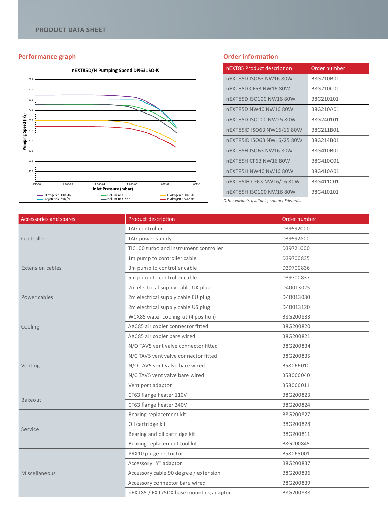### **Performance graph**



#### **Order information**

| nEXT85 Product description | Order number |
|----------------------------|--------------|
| nEXT85D ISO63 NW16 80W     | B8G210B01    |
| nEXT85D CF63 NW16 80W      | B8G210C01    |
| nEXT85D ISO100 NW16 80W    | B8G210101    |
| nEXT85D NW40 NW16 80W      | B8G210A01    |
| nEXT85D ISO100 NW25 80W    | B8G240101    |
| nEXT85ID ISO63 NW16/16 80W | B8G211B01    |
| nEXT85ID ISO63 NW16/25 80W | B8G214B01    |
| nEXT85H ISO63 NW16 80W     | B8G410B01    |
| nEXT85H CF63 NW16 80W      | B8G410C01    |
| nEXT85H NW40 NW16 80W      | B8G410A01    |
| nEXT85IH CF63 NW16/16 80W  | B8G411C01    |
| nEXT85H ISO100 NW16 80W    | B8G410101    |

*Other variants available, contact Edwards.*

| Accessories and spares  | <b>Product description</b>             | Order number |
|-------------------------|----------------------------------------|--------------|
|                         | TAG controller                         | D39592000    |
| Controller              | TAG power supply                       | D39592800    |
|                         | TIC100 turbo and instrument controller | D39721000    |
|                         | 1m pump to controller cable            | D39700835    |
| <b>Extension cables</b> | 3m pump to controller cable            | D39700836    |
|                         | 5m pump to controller cable            | D39700837    |
|                         | 2m electrical supply cable UK plug     | D40013025    |
| Power cables            | 2m electrical supply cable EU plug     | D40013030    |
|                         | 2m electrical supply cable US plug     | D40013120    |
|                         | WCX85 water cooling kit (4 position)   | B8G200833    |
| Cooling                 | AXC85 air cooler connector fitted      | B8G200820    |
|                         | AXC85 air cooler bare wired            | B8G200821    |
|                         | N/O TAV5 vent valve connector fitted   | B8G200834    |
|                         | N/C TAV5 vent valve connector fitted   | B8G200835    |
| Venting                 | N/O TAV5 vent valve bare wired         | B58066010    |
|                         | N/C TAV5 vent valve bare wired         | B58066040    |
|                         | Vent port adaptor                      | B58066011    |
| Bakeout                 | CF63 flange heater 110V                | B8G200823    |
|                         | CF63 flange heater 240V                | B8G200824    |
|                         | Bearing replacement kit                | B8G200827    |
|                         | Oil cartridge kit                      | B8G200828    |
| Service                 | Bearing and oil cartridge kit          | B8G200811    |
|                         | Bearing replacement tool kit           | B8G200845    |
|                         | PRX10 purge restrictor                 | B58065001    |
|                         | Accessory "Y" adaptor                  | B8G200837    |
| <b>Miscellaneous</b>    | Accessory cable 90 degree / extension  | B8G200836    |
|                         | Accessory connector bare wired         | B8G200839    |
|                         | nEXT85 / EXT75DX base mounting adaptor | B8G200838    |